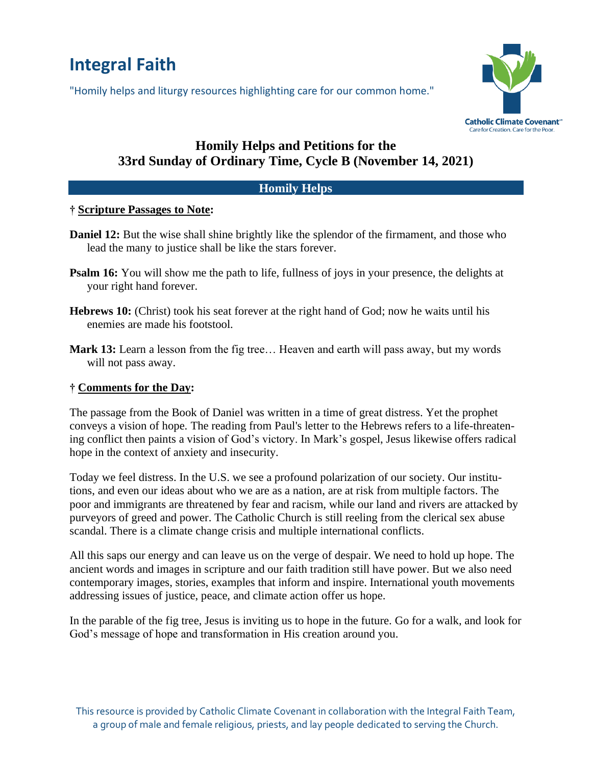# **Integral Faith**

"Homily helps and liturgy resources highlighting care for our common home."



## **Homily Helps and Petitions for the 33rd Sunday of Ordinary Time, Cycle B (November 14, 2021)**

#### **Homily Helps**

#### **† Scripture Passages to Note:**

- **Daniel 12:** But the wise shall shine brightly like the splendor of the firmament, and those who lead the many to justice shall be like the stars forever.
- **Psalm 16:** You will show me the path to life, fullness of joys in your presence, the delights at your right hand forever.
- **Hebrews 10:** (Christ) took his seat forever at the right hand of God; now he waits until his enemies are made his footstool.
- **Mark 13:** Learn a lesson from the fig tree… Heaven and earth will pass away, but my words will not pass away.

### **† Comments for the Day:**

The passage from the Book of Daniel was written in a time of great distress. Yet the prophet conveys a vision of hope. The reading from Paul's letter to the Hebrews refers to a life-threatening conflict then paints a vision of God's victory. In Mark's gospel, Jesus likewise offers radical hope in the context of anxiety and insecurity.

Today we feel distress. In the U.S. we see a profound polarization of our society. Our institutions, and even our ideas about who we are as a nation, are at risk from multiple factors. The poor and immigrants are threatened by fear and racism, while our land and rivers are attacked by purveyors of greed and power. The Catholic Church is still reeling from the clerical sex abuse scandal. There is a climate change crisis and multiple international conflicts.

All this saps our energy and can leave us on the verge of despair. We need to hold up hope. The ancient words and images in scripture and our faith tradition still have power. But we also need contemporary images, stories, examples that inform and inspire. International youth movements addressing issues of justice, peace, and climate action offer us hope.

In the parable of the fig tree, Jesus is inviting us to hope in the future. Go for a walk, and look for God's message of hope and transformation in His creation around you.